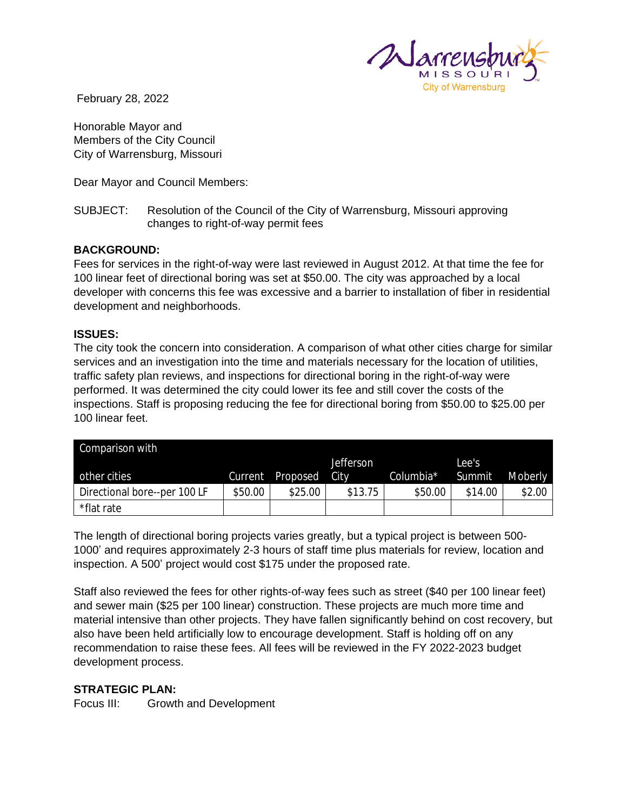

February 28, 2022

Honorable Mayor and Members of the City Council City of Warrensburg, Missouri

Dear Mayor and Council Members:

### SUBJECT: Resolution of the Council of the City of Warrensburg, Missouri approving changes to right-of-way permit fees

### **BACKGROUND:**

Fees for services in the right-of-way were last reviewed in August 2012. At that time the fee for 100 linear feet of directional boring was set at \$50.00. The city was approached by a local developer with concerns this fee was excessive and a barrier to installation of fiber in residential development and neighborhoods.

#### **ISSUES:**

The city took the concern into consideration. A comparison of what other cities charge for similar services and an investigation into the time and materials necessary for the location of utilities, traffic safety plan reviews, and inspections for directional boring in the right-of-way were performed. It was determined the city could lower its fee and still cover the costs of the inspections. Staff is proposing reducing the fee for directional boring from \$50.00 to \$25.00 per 100 linear feet.

| Comparison with              |         |          |                   |           |         |         |
|------------------------------|---------|----------|-------------------|-----------|---------|---------|
|                              |         |          | <b>Jefferson</b>  |           | Lee's   |         |
| other cities                 | Current | Proposed | City <sup>1</sup> | Columbia* | Summit  | Moberly |
| Directional bore--per 100 LF | \$50.00 | \$25.00  | \$13.75           | \$50.00   | \$14.00 | \$2.00  |
| *flat rate                   |         |          |                   |           |         |         |

The length of directional boring projects varies greatly, but a typical project is between 500- 1000' and requires approximately 2-3 hours of staff time plus materials for review, location and inspection. A 500' project would cost \$175 under the proposed rate.

Staff also reviewed the fees for other rights-of-way fees such as street (\$40 per 100 linear feet) and sewer main (\$25 per 100 linear) construction. These projects are much more time and material intensive than other projects. They have fallen significantly behind on cost recovery, but also have been held artificially low to encourage development. Staff is holding off on any recommendation to raise these fees. All fees will be reviewed in the FY 2022-2023 budget development process.

### **STRATEGIC PLAN:**

Focus III: Growth and Development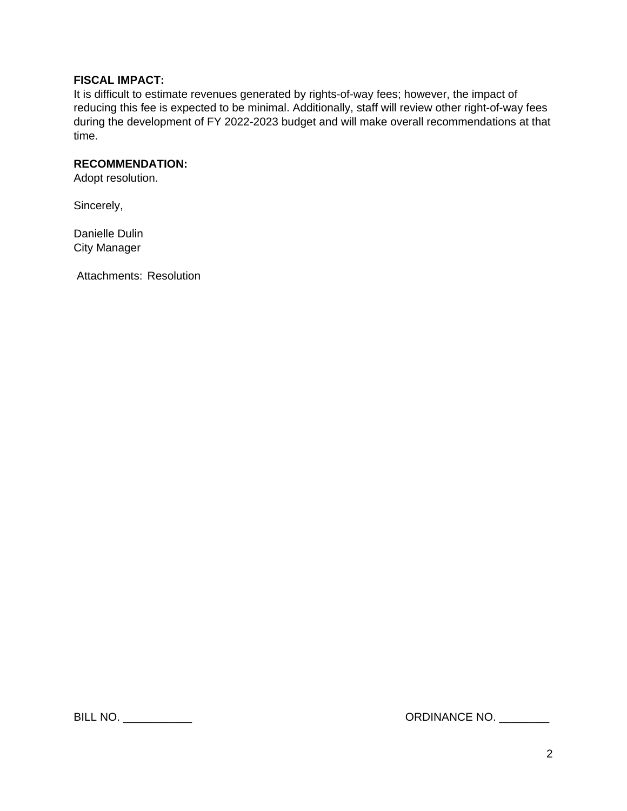## **FISCAL IMPACT:**

It is difficult to estimate revenues generated by rights-of-way fees; however, the impact of reducing this fee is expected to be minimal. Additionally, staff will review other right-of-way fees during the development of FY 2022-2023 budget and will make overall recommendations at that time.

# **RECOMMENDATION:**

Adopt resolution.

Sincerely,

Danielle Dulin City Manager

Attachments: Resolution

BILL NO. \_\_\_\_\_\_\_\_\_\_\_ ORDINANCE NO. \_\_\_\_\_\_\_\_